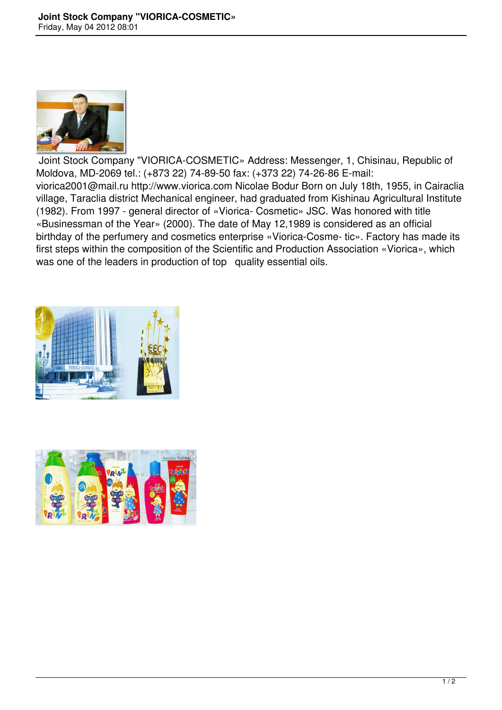

 Joint Stock Company "VIORICA-COSMETIC» Address: Messenger, 1, Chisinau, Republic of Moldova, MD-2069 tel.: (+873 22) 74-89-50 fax: (+373 22) 74-26-86 E-mail: viorica2001@mail.ru http://www.viorica.com Nicolae Bodur Born on July 18th, 1955, in Cairaclia village, Taraclia district Mechanical engineer, had graduated from Kishinau Agricultural Institute (1982). From 1997 - general director of «Viorica- Cosmetic» JSC. Was honored with title «Businessman of the Year» (2000). The date of May 12,1989 is considered as an official birthday of the perfumery and cosmetics enterprise «Viorica-Cosme- tic». Factory has made its first steps within the composition of the Scientific and Production Association «Viorica», which was one of the leaders in production of top quality essential oils.